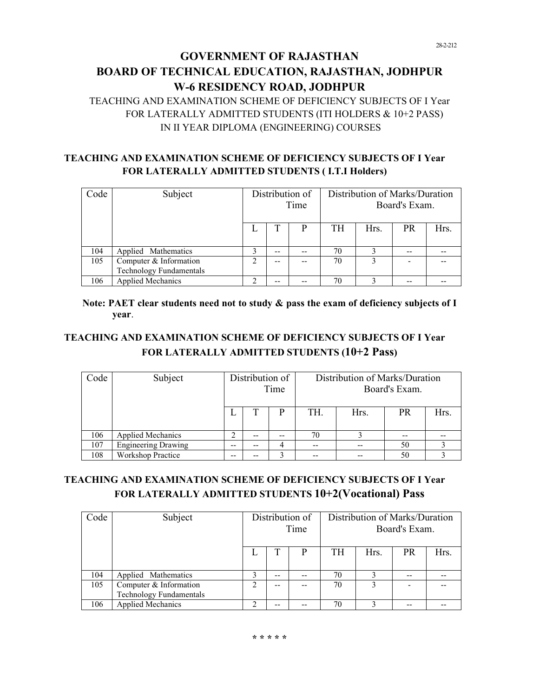# **GOVERNMENT OF RAJASTHAN BOARD OF TECHNICAL EDUCATION, RAJASTHAN, JODHPUR** W-6 RESIDENCY ROAD, JODHPUR

TEACHING AND EXAMINATION SCHEME OF DEFICIENCY SUBJECTS OF I Year FOR LATERALLY ADMITTED STUDENTS (ITI HOLDERS & 10+2 PASS) IN II YEAR DIPLOMA (ENGINEERING) COURSES

### **TEACHING AND EXAMINATION SCHEME OF DEFICIENCY SUBJECTS OF I Year FOR LATERALLY ADMITTED STUDENTS (I.T.I Holders)**

| Code | Subject                                                  | Distribution of<br>Time |    |   | Distribution of Marks/Duration<br>Board's Exam. |      |    |      |  |  |
|------|----------------------------------------------------------|-------------------------|----|---|-------------------------------------------------|------|----|------|--|--|
|      |                                                          |                         |    | P | TH                                              | Hrs. | PR | Hrs. |  |  |
| 104  | Applied Mathematics                                      | 3                       | -- |   | 70                                              | 3    |    |      |  |  |
| 105  | Computer & Information<br><b>Technology Fundamentals</b> | 2                       | -- |   | 70                                              | 3    |    |      |  |  |
| 106  | <b>Applied Mechanics</b>                                 | $\mathfrak{D}$          | -- |   | 70                                              | 3    |    |      |  |  |

### Note: PAET clear students need not to study & pass the exam of deficiency subjects of I **year**.

# **TEACHING AND EXAMINATION SCHEME OF DEFICIENCY SUBJECTS OF I Year** FOR LATERALLY ADMITTED STUDENTS (10+2 Pass)

| Code | Subject                    | Distribution of<br>Time |       |    | Distribution of Marks/Duration<br>Board's Exam. |      |           |      |  |  |
|------|----------------------------|-------------------------|-------|----|-------------------------------------------------|------|-----------|------|--|--|
|      |                            |                         | T     | P  | TH.                                             | Hrs. | <b>PR</b> | Hrs. |  |  |
| 106  | <b>Applied Mechanics</b>   | ↑                       | $- -$ | -- | 70                                              |      | --        |      |  |  |
| 107  | <b>Engineering Drawing</b> | --                      | $- -$ | 4  |                                                 |      | 50        |      |  |  |
| 108  | <b>Workshop Practice</b>   | --                      | --    |    |                                                 |      | 50        |      |  |  |

## TEACHING AND EXAMINATION SCHEME OF DEFICIENCY SUBJECTS OF I Year FOR LATERALLY ADMITTED STUDENTS  $10+2$ (Vocational) Pass

| Code | Subject                                                  | Distribution of<br>Time |       |  | Distribution of Marks/Duration<br>Board's Exam. |      |           |      |
|------|----------------------------------------------------------|-------------------------|-------|--|-------------------------------------------------|------|-----------|------|
|      |                                                          |                         | T     |  | <b>TH</b>                                       | Hrs. | <b>PR</b> | Hrs. |
| 104  | Applied Mathematics                                      | 3                       | $- -$ |  | 70                                              |      | --        |      |
| 105  | Computer & Information<br><b>Technology Fundamentals</b> | 2                       | --    |  | 70                                              | 3    |           |      |
| 106  | <b>Applied Mechanics</b>                                 | າ                       |       |  | 70                                              |      |           |      |